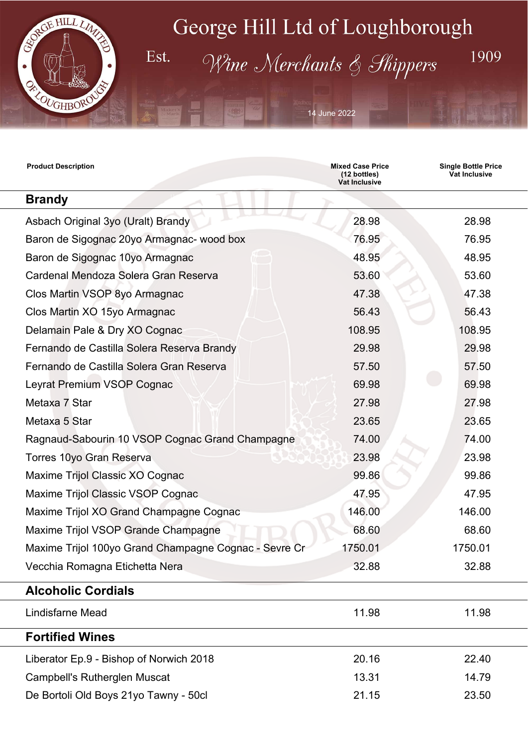

Est.

# George Hill Ltd of Loughborough

Wine Merchants & Shippers

14 June 2022

| <b>Product Description</b>                            | <b>Mixed Case Price</b><br>(12 bottles)<br><b>Vat Inclusive</b> | <b>Single Bottle Price</b><br><b>Vat Inclusive</b> |  |
|-------------------------------------------------------|-----------------------------------------------------------------|----------------------------------------------------|--|
| <b>Brandy</b>                                         |                                                                 |                                                    |  |
| Asbach Original 3yo (Uralt) Brandy                    | 28.98                                                           | 28.98                                              |  |
| Baron de Sigognac 20yo Armagnac- wood box             | 76.95                                                           | 76.95                                              |  |
| Baron de Sigognac 10yo Armagnac                       | 48.95                                                           | 48.95                                              |  |
| Cardenal Mendoza Solera Gran Reserva                  | 53.60                                                           | 53.60                                              |  |
| Clos Martin VSOP 8yo Armagnac                         | 47.38                                                           | 47.38                                              |  |
| Clos Martin XO 15yo Armagnac                          | 56.43                                                           | 56.43                                              |  |
| Delamain Pale & Dry XO Cognac                         | 108.95                                                          | 108.95                                             |  |
| Fernando de Castilla Solera Reserva Brandy            | 29.98                                                           | 29.98                                              |  |
| Fernando de Castilla Solera Gran Reserva              | 57.50                                                           | 57.50                                              |  |
| Leyrat Premium VSOP Cognac                            | 69.98                                                           | 69.98                                              |  |
| Metaxa 7 Star                                         | 27.98                                                           | 27.98                                              |  |
| Metaxa 5 Star                                         | 23.65                                                           | 23.65                                              |  |
| Ragnaud-Sabourin 10 VSOP Cognac Grand Champagne       | 74.00                                                           | 74.00                                              |  |
| Torres 10yo Gran Reserva                              | 23.98                                                           | 23.98                                              |  |
| Maxime Trijol Classic XO Cognac                       | 99.86                                                           | 99.86                                              |  |
| Maxime Trijol Classic VSOP Cognac                     | 47.95                                                           | 47.95                                              |  |
| Maxime Trijol XO Grand Champagne Cognac               | 146.00                                                          | 146.00                                             |  |
| Maxime Trijol VSOP Grande Champagne                   | 68.60                                                           | 68.60                                              |  |
| Maxime Trijol 100yo Grand Champagne Cognac - Sevre Cr | 1750.01                                                         | 1750.01                                            |  |
| Vecchia Romagna Etichetta Nera                        | 32.88                                                           | 32.88                                              |  |
| <b>Alcoholic Cordials</b>                             |                                                                 |                                                    |  |
| <b>Lindisfarne Mead</b>                               | 11.98                                                           | 11.98                                              |  |
| <b>Fortified Wines</b>                                |                                                                 |                                                    |  |
| Liberator Ep.9 - Bishop of Norwich 2018               | 20.16                                                           | 22.40                                              |  |
| <b>Campbell's Rutherglen Muscat</b>                   | 13.31                                                           | 14.79                                              |  |
| De Bortoli Old Boys 21yo Tawny - 50cl                 | 21.15                                                           | 23.50                                              |  |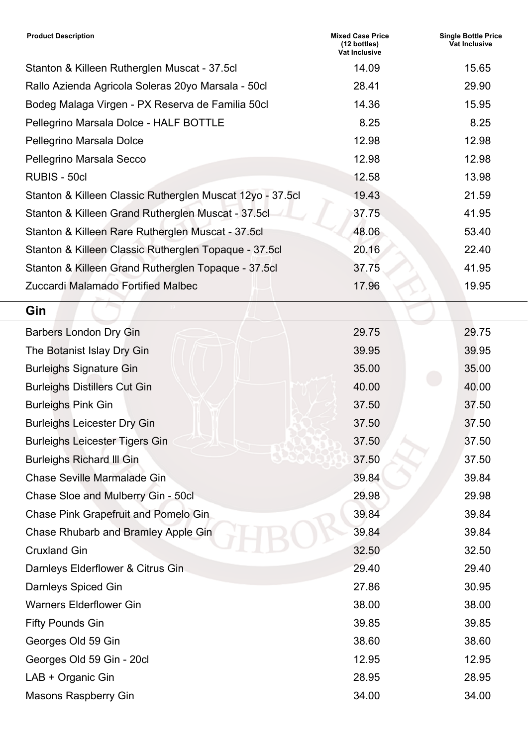| <b>Product Description</b>                                | <b>Mixed Case Price</b><br>(12 bottles)<br><b>Vat Inclusive</b> | <b>Single Bottle Price</b><br><b>Vat Inclusive</b> |
|-----------------------------------------------------------|-----------------------------------------------------------------|----------------------------------------------------|
| Stanton & Killeen Rutherglen Muscat - 37.5cl              | 14.09                                                           | 15.65                                              |
| Rallo Azienda Agricola Soleras 20yo Marsala - 50cl        | 28.41                                                           | 29.90                                              |
| Bodeg Malaga Virgen - PX Reserva de Familia 50cl          | 14.36                                                           | 15.95                                              |
| Pellegrino Marsala Dolce - HALF BOTTLE                    | 8.25                                                            | 8.25                                               |
| Pellegrino Marsala Dolce                                  | 12.98                                                           | 12.98                                              |
| Pellegrino Marsala Secco                                  | 12.98                                                           | 12.98                                              |
| RUBIS - 50cl                                              | 12.58                                                           | 13.98                                              |
| Stanton & Killeen Classic Rutherglen Muscat 12yo - 37.5cl | 19.43                                                           | 21.59                                              |
| Stanton & Killeen Grand Rutherglen Muscat - 37.5cl        | 37.75                                                           | 41.95                                              |
| Stanton & Killeen Rare Rutherglen Muscat - 37.5cl         | 48.06                                                           | 53.40                                              |
| Stanton & Killeen Classic Rutherglen Topaque - 37.5cl     | 20.16                                                           | 22.40                                              |
| Stanton & Killeen Grand Rutherglen Topaque - 37.5cl       | 37.75                                                           | 41.95                                              |
| Zuccardi Malamado Fortified Malbec                        | 17.96                                                           | 19.95                                              |
| Gin                                                       |                                                                 |                                                    |
| <b>Barbers London Dry Gin</b>                             | 29.75                                                           | 29.75                                              |
| The Botanist Islay Dry Gin                                | 39.95                                                           | 39.95                                              |
| <b>Burleighs Signature Gin</b>                            | 35.00                                                           | 35.00                                              |
| <b>Burleighs Distillers Cut Gin</b>                       | 40.00                                                           | 40.00                                              |
| <b>Burleighs Pink Gin</b>                                 | 37.50                                                           | 37.50                                              |
| <b>Burleighs Leicester Dry Gin</b>                        | 37.50                                                           | 37.50                                              |
| <b>Burleighs Leicester Tigers Gin</b>                     | 37.50                                                           | 37.50                                              |
| <b>Burleighs Richard III Gin</b>                          | 37.50                                                           | 37.50                                              |
| <b>Chase Seville Marmalade Gin</b>                        | 39.84                                                           | 39.84                                              |
| Chase Sloe and Mulberry Gin - 50cl                        | 29.98                                                           | 29.98                                              |
| Chase Pink Grapefruit and Pomelo Gin                      | 39.84                                                           | 39.84                                              |
| Chase Rhubarb and Bramley Apple Gin                       | 39.84                                                           | 39.84                                              |
| <b>Cruxland Gin</b>                                       | 32.50                                                           | 32.50                                              |
| Darnleys Elderflower & Citrus Gin                         | 29.40                                                           | 29.40                                              |
| Darnleys Spiced Gin                                       | 27.86                                                           | 30.95                                              |
| <b>Warners Elderflower Gin</b>                            | 38.00                                                           | 38.00                                              |
| <b>Fifty Pounds Gin</b>                                   | 39.85                                                           | 39.85                                              |
| Georges Old 59 Gin                                        | 38.60                                                           | 38.60                                              |
| Georges Old 59 Gin - 20cl                                 | 12.95                                                           | 12.95                                              |
| LAB + Organic Gin                                         | 28.95                                                           | 28.95                                              |
| <b>Masons Raspberry Gin</b>                               | 34.00                                                           | 34.00                                              |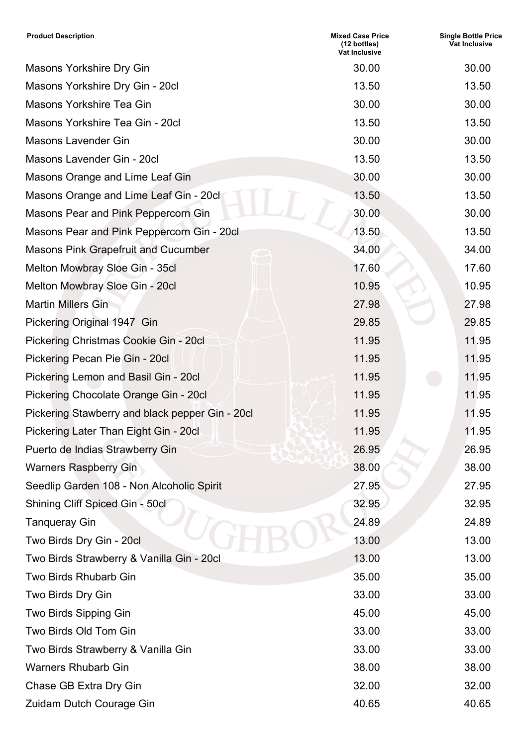| <b>Product Description</b>                      | <b>Mixed Case Price</b><br>(12 bottles)<br><b>Vat Inclusive</b> | <b>Single Bottle Price</b><br>Vat Inclusive |
|-------------------------------------------------|-----------------------------------------------------------------|---------------------------------------------|
| <b>Masons Yorkshire Dry Gin</b>                 | 30.00                                                           | 30.00                                       |
| Masons Yorkshire Dry Gin - 20cl                 | 13.50                                                           | 13.50                                       |
| Masons Yorkshire Tea Gin                        | 30.00                                                           | 30.00                                       |
| Masons Yorkshire Tea Gin - 20cl                 | 13.50                                                           | 13.50                                       |
| <b>Masons Lavender Gin</b>                      | 30.00                                                           | 30.00                                       |
| Masons Lavender Gin - 20cl                      | 13.50                                                           | 13.50                                       |
| Masons Orange and Lime Leaf Gin                 | 30.00                                                           | 30.00                                       |
| Masons Orange and Lime Leaf Gin - 20cl          | 13.50                                                           | 13.50                                       |
| Masons Pear and Pink Peppercorn Gin             | 30.00                                                           | 30.00                                       |
| Masons Pear and Pink Peppercorn Gin - 20cl      | 13.50                                                           | 13.50                                       |
| <b>Masons Pink Grapefruit and Cucumber</b>      | 34.00                                                           | 34.00                                       |
| Melton Mowbray Sloe Gin - 35cl                  | 17.60                                                           | 17.60                                       |
| Melton Mowbray Sloe Gin - 20cl                  | 10.95                                                           | 10.95                                       |
| <b>Martin Millers Gin</b>                       | 27.98                                                           | 27.98                                       |
| Pickering Original 1947 Gin                     | 29.85                                                           | 29.85                                       |
| Pickering Christmas Cookie Gin - 20cl           | 11.95                                                           | 11.95                                       |
| Pickering Pecan Pie Gin - 20cl                  | 11.95                                                           | 11.95                                       |
| Pickering Lemon and Basil Gin - 20cl            | 11.95                                                           | 11.95                                       |
| Pickering Chocolate Orange Gin - 20cl           | 11.95                                                           | 11.95                                       |
| Pickering Stawberry and black pepper Gin - 20cl | 11.95                                                           | 11.95                                       |
| Pickering Later Than Eight Gin - 20cl           | 11.95                                                           | 11.95                                       |
| Puerto de Indias Strawberry Gin                 | 26.95                                                           | 26.95                                       |
| <b>Warners Raspberry Gin</b>                    | 38.00                                                           | 38.00                                       |
| Seedlip Garden 108 - Non Alcoholic Spirit       | 27.95                                                           | 27.95                                       |
| Shining Cliff Spiced Gin - 50cl                 | 32.95                                                           | 32.95                                       |
| <b>Tanqueray Gin</b>                            | 24.89                                                           | 24.89                                       |
| Two Birds Dry Gin - 20cl                        | 13.00                                                           | 13.00                                       |
| Two Birds Strawberry & Vanilla Gin - 20cl       | 13.00                                                           | 13.00                                       |
| <b>Two Birds Rhubarb Gin</b>                    | 35.00                                                           | 35.00                                       |
| Two Birds Dry Gin                               | 33.00                                                           | 33.00                                       |
| Two Birds Sipping Gin                           | 45.00                                                           | 45.00                                       |
| Two Birds Old Tom Gin                           | 33.00                                                           | 33.00                                       |
| Two Birds Strawberry & Vanilla Gin              | 33.00                                                           | 33.00                                       |
| <b>Warners Rhubarb Gin</b>                      | 38.00                                                           | 38.00                                       |
| Chase GB Extra Dry Gin                          | 32.00                                                           | 32.00                                       |
| Zuidam Dutch Courage Gin                        | 40.65                                                           | 40.65                                       |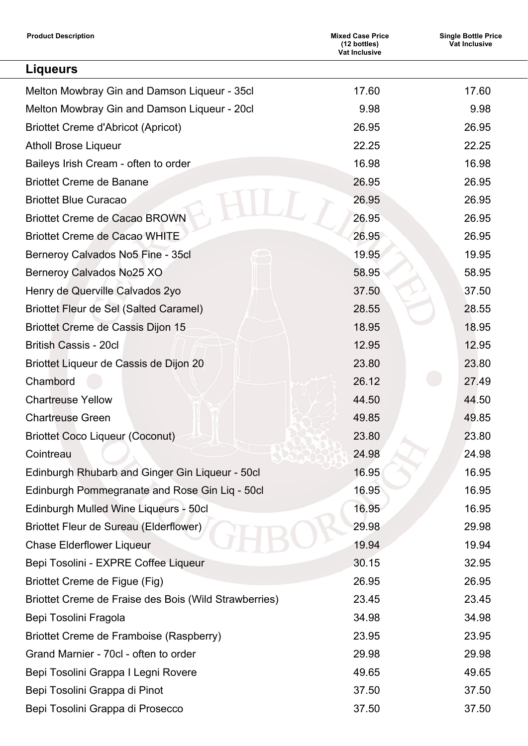| <b>Product Description</b>                            | <b>Mixed Case Price</b><br>(12 bottles)<br><b>Vat Inclusive</b> | <b>Single Bottle Price</b><br>Vat Inclusive |
|-------------------------------------------------------|-----------------------------------------------------------------|---------------------------------------------|
| <b>Liqueurs</b>                                       |                                                                 |                                             |
| Melton Mowbray Gin and Damson Liqueur - 35cl          | 17.60                                                           | 17.60                                       |
| Melton Mowbray Gin and Damson Liqueur - 20cl          | 9.98                                                            | 9.98                                        |
| <b>Briottet Creme d'Abricot (Apricot)</b>             | 26.95                                                           | 26.95                                       |
| <b>Atholl Brose Liqueur</b>                           | 22.25                                                           | 22.25                                       |
| Baileys Irish Cream - often to order                  | 16.98                                                           | 16.98                                       |
| <b>Briottet Creme de Banane</b>                       | 26.95                                                           | 26.95                                       |
| <b>Briottet Blue Curacao</b>                          | 26.95                                                           | 26.95                                       |
| <b>Briottet Creme de Cacao BROWN</b>                  | 26.95                                                           | 26.95                                       |
| <b>Briottet Creme de Cacao WHITE</b>                  | 26.95                                                           | 26.95                                       |
| Berneroy Calvados No5 Fine - 35cl                     | 19.95                                                           | 19.95                                       |
| Berneroy Calvados No25 XO                             | 58.95                                                           | 58.95                                       |
| Henry de Querville Calvados 2yo                       | 37.50                                                           | 37.50                                       |
| <b>Briottet Fleur de Sel (Salted Caramel)</b>         | 28.55                                                           | 28.55                                       |
| Briottet Creme de Cassis Dijon 15                     | 18.95                                                           | 18.95                                       |
| <b>British Cassis - 20cl</b>                          | 12.95                                                           | 12.95                                       |
| Briottet Liqueur de Cassis de Dijon 20                | 23.80                                                           | 23.80                                       |
| Chambord                                              | 26.12                                                           | 27.49                                       |
| <b>Chartreuse Yellow</b>                              | 44.50                                                           | 44.50                                       |
| <b>Chartreuse Green</b>                               | 49.85                                                           | 49.85                                       |
| <b>Briottet Coco Liqueur (Coconut)</b>                | 23.80                                                           | 23.80                                       |
| Cointreau                                             | 24.98                                                           | 24.98                                       |
| Edinburgh Rhubarb and Ginger Gin Liqueur - 50cl       | 16.95                                                           | 16.95                                       |
| Edinburgh Pommegranate and Rose Gin Liq - 50cl        | 16.95                                                           | 16.95                                       |
| Edinburgh Mulled Wine Liqueurs - 50cl                 | 16.95                                                           | 16.95                                       |
| Briottet Fleur de Sureau (Elderflower)                | 29.98                                                           | 29.98                                       |
| <b>Chase Elderflower Liqueur</b>                      | 19.94                                                           | 19.94                                       |
| Bepi Tosolini - EXPRE Coffee Liqueur                  | 30.15                                                           | 32.95                                       |
| Briottet Creme de Figue (Fig)                         | 26.95                                                           | 26.95                                       |
| Briottet Creme de Fraise des Bois (Wild Strawberries) | 23.45                                                           | 23.45                                       |
| Bepi Tosolini Fragola                                 | 34.98                                                           | 34.98                                       |
| Briottet Creme de Framboise (Raspberry)               | 23.95                                                           | 23.95                                       |
| Grand Marnier - 70cl - often to order                 | 29.98                                                           | 29.98                                       |
| Bepi Tosolini Grappa I Legni Rovere                   | 49.65                                                           | 49.65                                       |
| Bepi Tosolini Grappa di Pinot                         | 37.50                                                           | 37.50                                       |
| Bepi Tosolini Grappa di Prosecco                      | 37.50                                                           | 37.50                                       |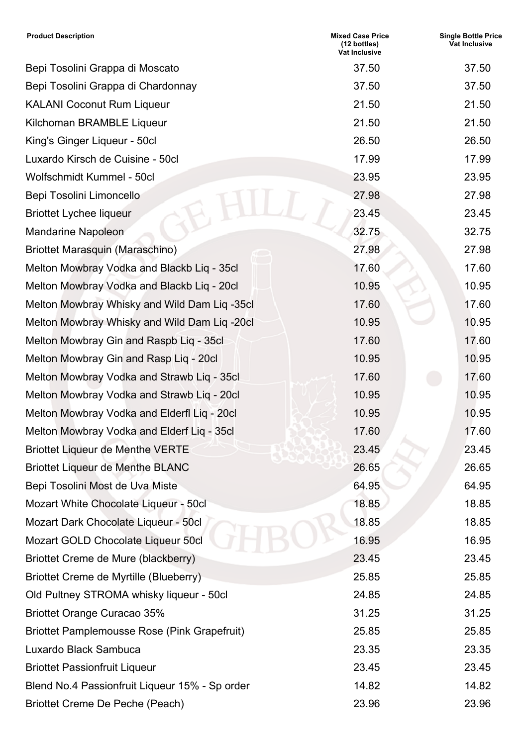| <b>Product Description</b>                          | <b>Mixed Case Price</b><br>(12 bottles)<br><b>Vat Inclusive</b> | <b>Single Bottle Price</b><br>Vat Inclusive |
|-----------------------------------------------------|-----------------------------------------------------------------|---------------------------------------------|
| Bepi Tosolini Grappa di Moscato                     | 37.50                                                           | 37.50                                       |
| Bepi Tosolini Grappa di Chardonnay                  | 37.50                                                           | 37.50                                       |
| <b>KALANI Coconut Rum Liqueur</b>                   | 21.50                                                           | 21.50                                       |
| Kilchoman BRAMBLE Liqueur                           | 21.50                                                           | 21.50                                       |
| King's Ginger Liqueur - 50cl                        | 26.50                                                           | 26.50                                       |
| Luxardo Kirsch de Cuisine - 50cl                    | 17.99                                                           | 17.99                                       |
| Wolfschmidt Kummel - 50cl                           | 23.95                                                           | 23.95                                       |
| Bepi Tosolini Limoncello                            | 27.98                                                           | 27.98                                       |
| <b>Briottet Lychee liqueur</b>                      | 23.45                                                           | 23.45                                       |
| <b>Mandarine Napoleon</b>                           | 32.75                                                           | 32.75                                       |
| Briottet Marasquin (Maraschino)                     | 27.98                                                           | 27.98                                       |
| Melton Mowbray Vodka and Blackb Liq - 35cl          | 17.60                                                           | 17.60                                       |
| Melton Mowbray Vodka and Blackb Liq - 20cl          | 10.95                                                           | 10.95                                       |
| Melton Mowbray Whisky and Wild Dam Liq -35cl        | 17.60                                                           | 17.60                                       |
| Melton Mowbray Whisky and Wild Dam Liq -20cl        | 10.95                                                           | 10.95                                       |
| Melton Mowbray Gin and Raspb Liq - 35cl             | 17.60                                                           | 17.60                                       |
| Melton Mowbray Gin and Rasp Liq - 20cl              | 10.95                                                           | 10.95                                       |
| Melton Mowbray Vodka and Strawb Liq - 35cl          | 17.60                                                           | 17.60                                       |
| Melton Mowbray Vodka and Strawb Liq - 20cl          | 10.95                                                           | 10.95                                       |
| Melton Mowbray Vodka and Elderfl Liq - 20cl         | 10.95                                                           | 10.95                                       |
| Melton Mowbray Vodka and Elderf Liq - 35cl          | 17.60                                                           | 17.60                                       |
| <b>Briottet Liqueur de Menthe VERTE</b>             | 23.45                                                           | 23.45                                       |
| <b>Briottet Liqueur de Menthe BLANC</b>             | 26.65                                                           | 26.65                                       |
| Bepi Tosolini Most de Uva Miste                     | 64.95                                                           | 64.95                                       |
| Mozart White Chocolate Liqueur - 50cl               | 18.85                                                           | 18.85                                       |
| Mozart Dark Chocolate Liqueur - 50cl                | 18.85                                                           | 18.85                                       |
| Mozart GOLD Chocolate Liqueur 50cl                  | 16.95                                                           | 16.95                                       |
| Briottet Creme de Mure (blackberry)                 | 23.45                                                           | 23.45                                       |
| Briottet Creme de Myrtille (Blueberry)              | 25.85                                                           | 25.85                                       |
| Old Pultney STROMA whisky liqueur - 50cl            | 24.85                                                           | 24.85                                       |
| <b>Briottet Orange Curacao 35%</b>                  | 31.25                                                           | 31.25                                       |
| <b>Briottet Pamplemousse Rose (Pink Grapefruit)</b> | 25.85                                                           | 25.85                                       |
| Luxardo Black Sambuca                               | 23.35                                                           | 23.35                                       |
| <b>Briottet Passionfruit Liqueur</b>                | 23.45                                                           | 23.45                                       |
| Blend No.4 Passionfruit Liqueur 15% - Sp order      | 14.82                                                           | 14.82                                       |
| Briottet Creme De Peche (Peach)                     | 23.96                                                           | 23.96                                       |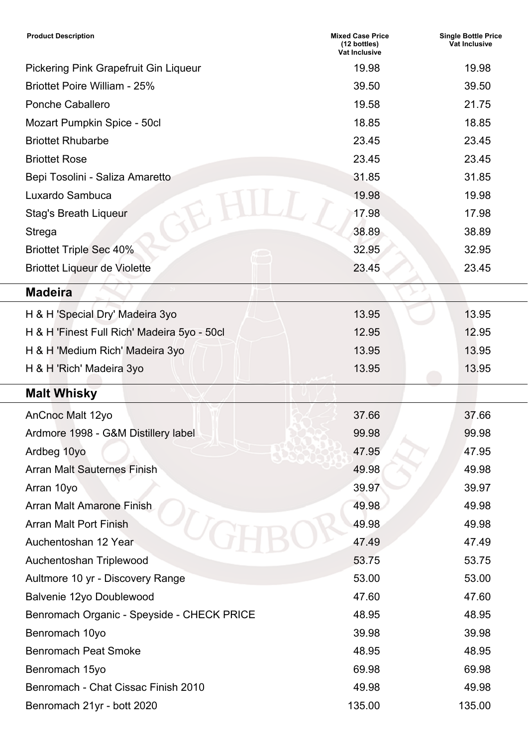| <b>Product Description</b>                   | <b>Mixed Case Price</b><br>(12 bottles)<br>Vat Inclusive | <b>Single Bottle Price</b><br><b>Vat Inclusive</b> |
|----------------------------------------------|----------------------------------------------------------|----------------------------------------------------|
| <b>Pickering Pink Grapefruit Gin Liqueur</b> | 19.98                                                    | 19.98                                              |
| <b>Briottet Poire William - 25%</b>          | 39.50                                                    | 39.50                                              |
| <b>Ponche Caballero</b>                      | 19.58                                                    | 21.75                                              |
| Mozart Pumpkin Spice - 50cl                  | 18.85                                                    | 18.85                                              |
| <b>Briottet Rhubarbe</b>                     | 23.45                                                    | 23.45                                              |
| <b>Briottet Rose</b>                         | 23.45                                                    | 23.45                                              |
| Bepi Tosolini - Saliza Amaretto              | 31.85                                                    | 31.85                                              |
| Luxardo Sambuca                              | 19.98                                                    | 19.98                                              |
| <b>Stag's Breath Liqueur</b>                 | 17.98                                                    | 17.98                                              |
| <b>Strega</b>                                | 38.89                                                    | 38.89                                              |
| <b>Briottet Triple Sec 40%</b>               | 32.95                                                    | 32.95                                              |
| <b>Briottet Liqueur de Violette</b>          | 23.45                                                    | 23.45                                              |
| <b>Madeira</b>                               |                                                          |                                                    |
| H & H 'Special Dry' Madeira 3yo              | 13.95                                                    | 13.95                                              |
| H & H 'Finest Full Rich' Madeira 5yo - 50cl  | 12.95                                                    | 12.95                                              |
| H & H 'Medium Rich' Madeira 3yo              | 13.95                                                    | 13.95                                              |
| H & H 'Rich' Madeira 3yo                     | 13.95                                                    | 13.95                                              |
| <b>Malt Whisky</b>                           |                                                          |                                                    |
| AnCnoc Malt 12yo                             | 37.66                                                    | 37.66                                              |
| Ardmore 1998 - G&M Distillery label          | 99.98                                                    | 99.98                                              |
| Ardbeg 10yo                                  | 47.95                                                    | 47.95                                              |
| <b>Arran Malt Sauternes Finish</b>           | 49.98                                                    | 49.98                                              |
| Arran 10yo                                   | 39.97                                                    | 39.97                                              |
| <b>Arran Malt Amarone Finish</b>             | 49.98                                                    | 49.98                                              |
| <b>Arran Malt Port Finish</b>                | 49.98                                                    | 49.98                                              |
| Auchentoshan 12 Year                         | 47.49                                                    | 47.49                                              |
| Auchentoshan Triplewood                      | 53.75                                                    | 53.75                                              |
| Aultmore 10 yr - Discovery Range             | 53.00                                                    | 53.00                                              |
| Balvenie 12yo Doublewood                     | 47.60                                                    | 47.60                                              |
| Benromach Organic - Speyside - CHECK PRICE   | 48.95                                                    | 48.95                                              |
| Benromach 10yo                               | 39.98                                                    | 39.98                                              |
| <b>Benromach Peat Smoke</b>                  | 48.95                                                    | 48.95                                              |
| Benromach 15yo                               | 69.98                                                    | 69.98                                              |
| Benromach - Chat Cissac Finish 2010          | 49.98                                                    | 49.98                                              |
| Benromach 21yr - bott 2020                   | 135.00                                                   | 135.00                                             |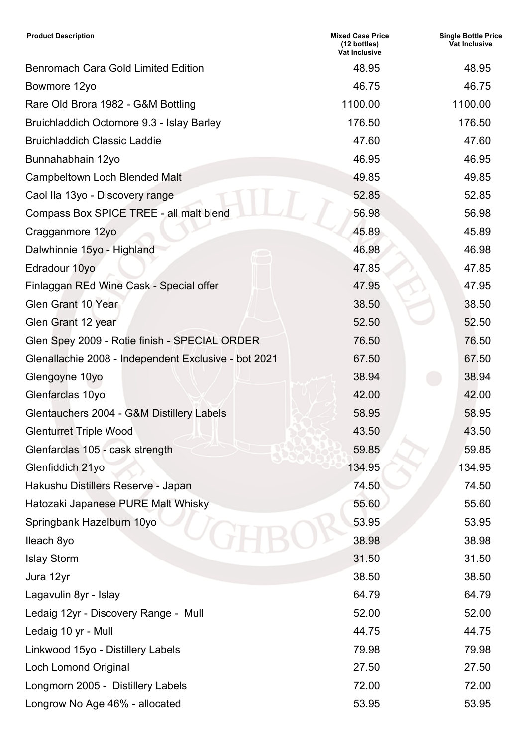| <b>Product Description</b>                           | <b>Mixed Case Price</b><br>(12 bottles)<br><b>Vat Inclusive</b> | <b>Single Bottle Price</b><br>Vat Inclusive |
|------------------------------------------------------|-----------------------------------------------------------------|---------------------------------------------|
| <b>Benromach Cara Gold Limited Edition</b>           | 48.95                                                           | 48.95                                       |
| Bowmore 12yo                                         | 46.75                                                           | 46.75                                       |
| Rare Old Brora 1982 - G&M Bottling                   | 1100.00                                                         | 1100.00                                     |
| Bruichladdich Octomore 9.3 - Islay Barley            | 176.50                                                          | 176.50                                      |
| <b>Bruichladdich Classic Laddie</b>                  | 47.60                                                           | 47.60                                       |
| Bunnahabhain 12yo                                    | 46.95                                                           | 46.95                                       |
| <b>Campbeltown Loch Blended Malt</b>                 | 49.85                                                           | 49.85                                       |
| Caol Ila 13yo - Discovery range                      | 52.85                                                           | 52.85                                       |
| Compass Box SPICE TREE - all malt blend              | 56.98                                                           | 56.98                                       |
| Cragganmore 12yo                                     | 45.89                                                           | 45.89                                       |
| Dalwhinnie 15yo - Highland                           | 46.98                                                           | 46.98                                       |
| Edradour 10yo                                        | 47.85                                                           | 47.85                                       |
| Finlaggan REd Wine Cask - Special offer              | 47.95                                                           | 47.95                                       |
| <b>Glen Grant 10 Year</b>                            | 38.50                                                           | 38.50                                       |
| Glen Grant 12 year                                   | 52.50                                                           | 52.50                                       |
| Glen Spey 2009 - Rotie finish - SPECIAL ORDER        | 76.50                                                           | 76.50                                       |
| Glenallachie 2008 - Independent Exclusive - bot 2021 | 67.50                                                           | 67.50                                       |
| Glengoyne 10yo                                       | 38.94                                                           | 38.94                                       |
| Glenfarclas 10yo                                     | 42.00                                                           | 42.00                                       |
| Glentauchers 2004 - G&M Distillery Labels            | 58.95                                                           | 58.95                                       |
| <b>Glenturret Triple Wood</b>                        | 43.50                                                           | 43.50                                       |
| Glenfarclas 105 - cask strength                      | 59.85                                                           | 59.85                                       |
| Glenfiddich 21yo                                     | 134.95                                                          | 134.95                                      |
| Hakushu Distillers Reserve - Japan                   | 74.50                                                           | 74.50                                       |
| Hatozaki Japanese PURE Malt Whisky                   | 55.60                                                           | 55.60                                       |
| Springbank Hazelburn 10yo                            | 53.95                                                           | 53.95                                       |
| Ileach 8yo                                           | 38.98                                                           | 38.98                                       |
| <b>Islay Storm</b>                                   | 31.50                                                           | 31.50                                       |
| Jura 12yr                                            | 38.50                                                           | 38.50                                       |
| Lagavulin 8yr - Islay                                | 64.79                                                           | 64.79                                       |
| Ledaig 12yr - Discovery Range - Mull                 | 52.00                                                           | 52.00                                       |
| Ledaig 10 yr - Mull                                  | 44.75                                                           | 44.75                                       |
| Linkwood 15yo - Distillery Labels                    | 79.98                                                           | 79.98                                       |
| <b>Loch Lomond Original</b>                          | 27.50                                                           | 27.50                                       |
| Longmorn 2005 - Distillery Labels                    | 72.00                                                           | 72.00                                       |
| Longrow No Age 46% - allocated                       | 53.95                                                           | 53.95                                       |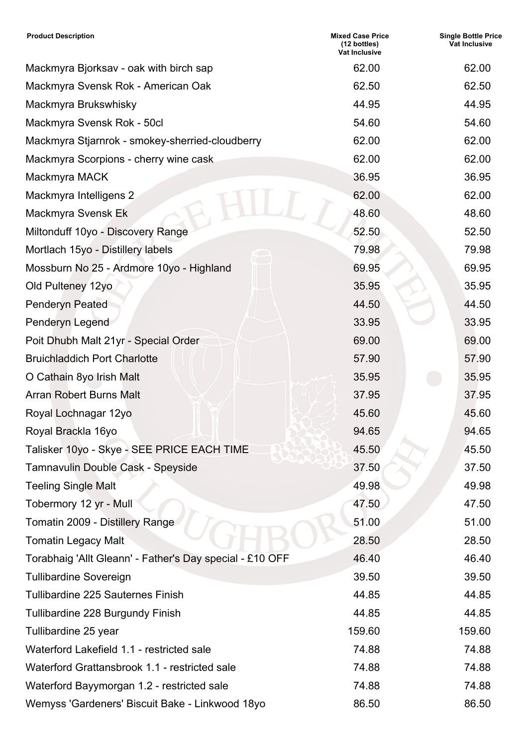| <b>Product Description</b>                               | <b>Mixed Case Price</b><br>(12 bottles)<br><b>Vat Inclusive</b> | <b>Single Bottle Price</b><br>Vat Inclusive |
|----------------------------------------------------------|-----------------------------------------------------------------|---------------------------------------------|
| Mackmyra Bjorksav - oak with birch sap                   | 62.00                                                           | 62.00                                       |
| Mackmyra Svensk Rok - American Oak                       | 62.50                                                           | 62.50                                       |
| Mackmyra Brukswhisky                                     | 44.95                                                           | 44.95                                       |
| Mackmyra Svensk Rok - 50cl                               | 54.60                                                           | 54.60                                       |
| Mackmyra Stjarnrok - smokey-sherried-cloudberry          | 62.00                                                           | 62.00                                       |
| Mackmyra Scorpions - cherry wine cask                    | 62.00                                                           | 62.00                                       |
| Mackmyra MACK                                            | 36.95                                                           | 36.95                                       |
| Mackmyra Intelligens 2                                   | 62.00                                                           | 62.00                                       |
| Mackmyra Svensk Ek                                       | 48.60                                                           | 48.60                                       |
| Miltonduff 10yo - Discovery Range                        | 52.50                                                           | 52.50                                       |
| Mortlach 15yo - Distillery labels                        | 79.98                                                           | 79.98                                       |
| Mossburn No 25 - Ardmore 10yo - Highland                 | 69.95                                                           | 69.95                                       |
| Old Pulteney 12yo                                        | 35.95                                                           | 35.95                                       |
| <b>Penderyn Peated</b>                                   | 44.50                                                           | 44.50                                       |
| Penderyn Legend                                          | 33.95                                                           | 33.95                                       |
| Poit Dhubh Malt 21yr - Special Order                     | 69.00                                                           | 69.00                                       |
| <b>Bruichladdich Port Charlotte</b>                      | 57.90                                                           | 57.90                                       |
| O Cathain 8yo Irish Malt                                 | 35.95                                                           | 35.95                                       |
| <b>Arran Robert Burns Malt</b>                           | 37.95                                                           | 37.95                                       |
| Royal Lochnagar 12yo                                     | 45.60                                                           | 45.60                                       |
| Royal Brackla 16yo                                       | 94.65                                                           | 94.65                                       |
| Talisker 10yo - Skye - SEE PRICE EACH TIME               | 45.50                                                           | 45.50                                       |
| Tamnavulin Double Cask - Speyside                        | 37.50                                                           | 37.50                                       |
| <b>Teeling Single Malt</b>                               | 49.98                                                           | 49.98                                       |
| Tobermory 12 yr - Mull                                   | 47.50                                                           | 47.50                                       |
| Tomatin 2009 - Distillery Range                          | 51.00                                                           | 51.00                                       |
| <b>Tomatin Legacy Malt</b>                               | 28.50                                                           | 28.50                                       |
| Torabhaig 'Allt Gleann' - Father's Day special - £10 OFF | 46.40                                                           | 46.40                                       |
| <b>Tullibardine Sovereign</b>                            | 39.50                                                           | 39.50                                       |
| <b>Tullibardine 225 Sauternes Finish</b>                 | 44.85                                                           | 44.85                                       |
| Tullibardine 228 Burgundy Finish                         | 44.85                                                           | 44.85                                       |
| Tullibardine 25 year                                     | 159.60                                                          | 159.60                                      |
| Waterford Lakefield 1.1 - restricted sale                | 74.88                                                           | 74.88                                       |
| Waterford Grattansbrook 1.1 - restricted sale            | 74.88                                                           | 74.88                                       |
| Waterford Bayymorgan 1.2 - restricted sale               | 74.88                                                           | 74.88                                       |
| Wemyss 'Gardeners' Biscuit Bake - Linkwood 18yo          | 86.50                                                           | 86.50                                       |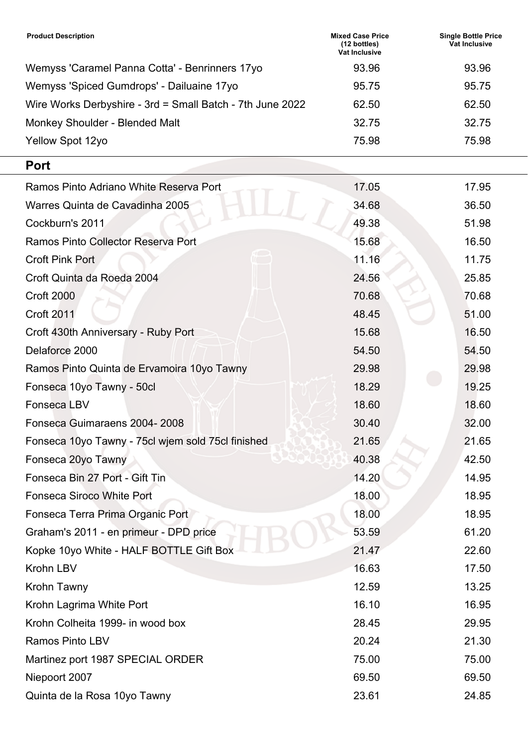| <b>Product Description</b>                                | <b>Mixed Case Price</b><br>$(12 \text{ bottles})$<br><b>Vat Inclusive</b> | <b>Single Bottle Price</b><br>Vat Inclusive |
|-----------------------------------------------------------|---------------------------------------------------------------------------|---------------------------------------------|
| Wemyss 'Caramel Panna Cotta' - Benrinners 17yo            | 93.96                                                                     | 93.96                                       |
| Wemyss 'Spiced Gumdrops' - Dailuaine 17yo                 | 95.75                                                                     | 95.75                                       |
| Wire Works Derbyshire - 3rd = Small Batch - 7th June 2022 | 62.50                                                                     | 62.50                                       |
| Monkey Shoulder - Blended Malt                            | 32.75                                                                     | 32.75                                       |
| Yellow Spot 12yo                                          | 75.98                                                                     | 75.98                                       |

### **Port**

| Ramos Pinto Adriano White Reserva Port            | 17.05 | 17.95 |
|---------------------------------------------------|-------|-------|
| Warres Quinta de Cavadinha 2005                   | 34.68 | 36.50 |
| Cockburn's 2011                                   | 49.38 | 51.98 |
| Ramos Pinto Collector Reserva Port                | 15.68 | 16.50 |
| <b>Croft Pink Port</b>                            | 11.16 | 11.75 |
| Croft Quinta da Roeda 2004                        | 24.56 | 25.85 |
| <b>Croft 2000</b>                                 | 70.68 | 70.68 |
| <b>Croft 2011</b>                                 | 48.45 | 51.00 |
| Croft 430th Anniversary - Ruby Port               | 15.68 | 16.50 |
| Delaforce 2000                                    | 54.50 | 54.50 |
| Ramos Pinto Quinta de Ervamoira 10yo Tawny        | 29.98 | 29.98 |
| Fonseca 10yo Tawny - 50cl                         | 18.29 | 19.25 |
| <b>Fonseca LBV</b>                                | 18.60 | 18.60 |
| Fonseca Guimaraens 2004-2008                      | 30.40 | 32.00 |
| Fonseca 10yo Tawny - 75cl wjem sold 75cl finished | 21.65 | 21.65 |
| Fonseca 20yo Tawny                                | 40.38 | 42.50 |
| Fonseca Bin 27 Port - Gift Tin                    | 14.20 | 14.95 |
| <b>Fonseca Siroco White Port</b>                  | 18.00 | 18.95 |
| Fonseca Terra Prima Organic Port                  | 18.00 | 18.95 |
| Graham's 2011 - en primeur - DPD price            | 53.59 | 61.20 |
| Kopke 10yo White - HALF BOTTLE Gift Box           | 21.47 | 22.60 |
| Krohn LBV                                         | 16.63 | 17.50 |
| Krohn Tawny                                       | 12.59 | 13.25 |
| Krohn Lagrima White Port                          | 16.10 | 16.95 |
| Krohn Colheita 1999- in wood box                  | 28.45 | 29.95 |
| <b>Ramos Pinto LBV</b>                            | 20.24 | 21.30 |
| Martinez port 1987 SPECIAL ORDER                  | 75.00 | 75.00 |
| Niepoort 2007                                     | 69.50 | 69.50 |
| Quinta de la Rosa 10yo Tawny                      | 23.61 | 24.85 |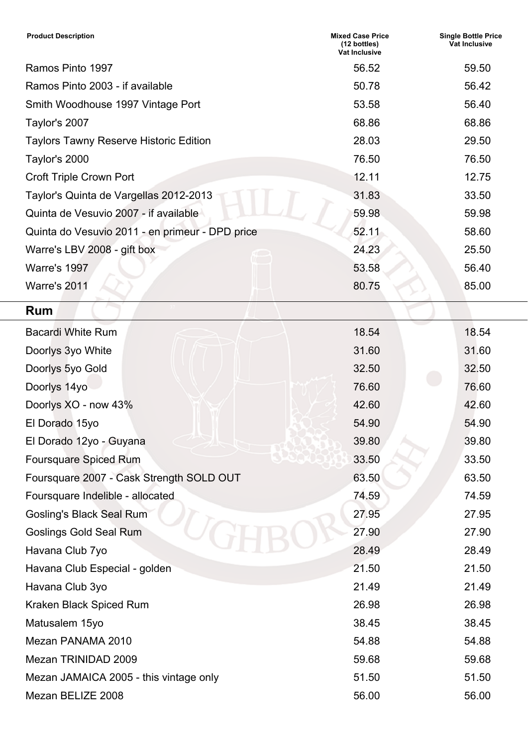| <b>Product Description</b>                      | <b>Mixed Case Price</b><br>(12 bottles)<br><b>Vat Inclusive</b> | <b>Single Bottle Price</b><br><b>Vat Inclusive</b> |
|-------------------------------------------------|-----------------------------------------------------------------|----------------------------------------------------|
| Ramos Pinto 1997                                | 56.52                                                           | 59.50                                              |
| Ramos Pinto 2003 - if available                 | 50.78                                                           | 56.42                                              |
| Smith Woodhouse 1997 Vintage Port               | 53.58                                                           | 56.40                                              |
| Taylor's 2007                                   | 68.86                                                           | 68.86                                              |
| <b>Taylors Tawny Reserve Historic Edition</b>   | 28.03                                                           | 29.50                                              |
| Taylor's 2000                                   | 76.50                                                           | 76.50                                              |
| <b>Croft Triple Crown Port</b>                  | 12.11                                                           | 12.75                                              |
| Taylor's Quinta de Vargellas 2012-2013          | 31.83                                                           | 33.50                                              |
| Quinta de Vesuvio 2007 - if available           | 59.98                                                           | 59.98                                              |
| Quinta do Vesuvio 2011 - en primeur - DPD price | 52.11                                                           | 58.60                                              |
| Warre's LBV 2008 - gift box                     | 24.23                                                           | 25.50                                              |
| <b>Warre's 1997</b>                             | 53.58                                                           | 56.40                                              |
| Warre's 2011                                    | 80.75                                                           | 85.00                                              |
| <b>Rum</b>                                      |                                                                 |                                                    |
| <b>Bacardi White Rum</b>                        | 18.54                                                           | 18.54                                              |
| Doorlys 3yo White                               | 31.60                                                           | 31.60                                              |
| Doorlys 5yo Gold                                | 32.50                                                           | 32.50                                              |
| Doorlys 14yo                                    | 76.60                                                           | 76.60                                              |
| Doorlys XO - now 43%                            | 42.60                                                           | 42.60                                              |
| El Dorado 15yo                                  | 54.90                                                           | 54.90                                              |
| El Dorado 12yo - Guyana                         | 39.80                                                           | 39.80                                              |
| <b>Foursquare Spiced Rum</b>                    | 33.50                                                           | 33.50                                              |
| Foursquare 2007 - Cask Strength SOLD OUT        | 63.50                                                           | 63.50                                              |
| Foursquare Indelible - allocated                | 74.59                                                           | 74.59                                              |
| <b>Gosling's Black Seal Rum</b>                 | 27.95                                                           | 27.95                                              |
| <b>Goslings Gold Seal Rum</b>                   | 27.90                                                           | 27.90                                              |
| Havana Club 7yo                                 | 28.49                                                           | 28.49                                              |
| Havana Club Especial - golden                   | 21.50                                                           | 21.50                                              |
| Havana Club 3yo                                 | 21.49                                                           | 21.49                                              |
| Kraken Black Spiced Rum                         | 26.98                                                           | 26.98                                              |
| Matusalem 15yo                                  | 38.45                                                           | 38.45                                              |
| Mezan PANAMA 2010                               | 54.88                                                           | 54.88                                              |
| Mezan TRINIDAD 2009                             | 59.68                                                           | 59.68                                              |
| Mezan JAMAICA 2005 - this vintage only          | 51.50                                                           | 51.50                                              |
| Mezan BELIZE 2008                               | 56.00                                                           | 56.00                                              |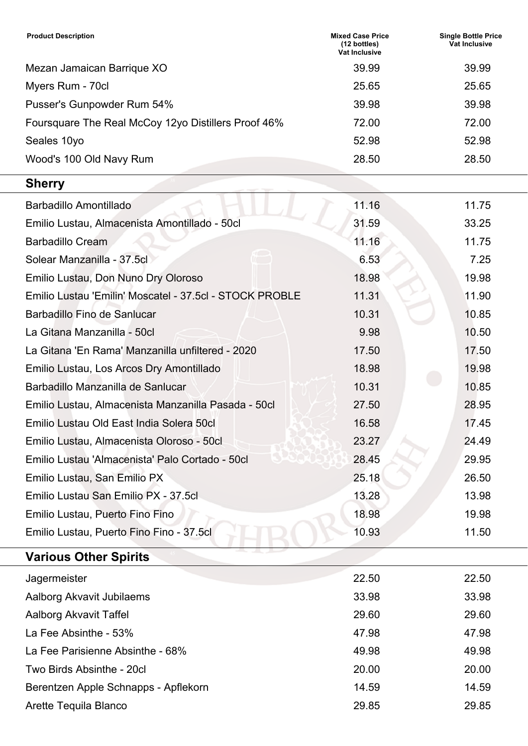| <b>Product Description</b>                              | <b>Mixed Case Price</b><br>(12 bottles)<br>Vat Inclusive | <b>Single Bottle Price</b><br>Vat Inclusive |
|---------------------------------------------------------|----------------------------------------------------------|---------------------------------------------|
| Mezan Jamaican Barrique XO                              | 39.99                                                    | 39.99                                       |
| Myers Rum - 70cl                                        | 25.65                                                    | 25.65                                       |
| Pusser's Gunpowder Rum 54%                              | 39.98                                                    | 39.98                                       |
| Foursquare The Real McCoy 12yo Distillers Proof 46%     | 72.00                                                    | 72.00                                       |
| Seales 10yo                                             | 52.98                                                    | 52.98                                       |
| Wood's 100 Old Navy Rum                                 | 28.50                                                    | 28.50                                       |
| <b>Sherry</b>                                           |                                                          |                                             |
| Barbadillo Amontillado                                  | 11.16                                                    | 11.75                                       |
| Emilio Lustau, Almacenista Amontillado - 50cl           | 31.59                                                    | 33.25                                       |
| <b>Barbadillo Cream</b>                                 | 11.16                                                    | 11.75                                       |
| Solear Manzanilla - 37.5cl                              | 6.53                                                     | 7.25                                        |
| Emilio Lustau, Don Nuno Dry Oloroso                     | 18.98                                                    | 19.98                                       |
| Emilio Lustau 'Emilin' Moscatel - 37.5cl - STOCK PROBLE | 11.31                                                    | 11.90                                       |
| <b>Barbadillo Fino de Sanlucar</b>                      | 10.31                                                    | 10.85                                       |
| La Gitana Manzanilla - 50cl                             | 9.98                                                     | 10.50                                       |
| La Gitana 'En Rama' Manzanilla unfiltered - 2020        | 17.50                                                    | 17.50                                       |
| Emilio Lustau, Los Arcos Dry Amontillado                | 18.98                                                    | 19.98                                       |
| Barbadillo Manzanilla de Sanlucar                       | 10.31                                                    | 10.85                                       |
| Emilio Lustau, Almacenista Manzanilla Pasada - 50cl     | 27.50                                                    | 28.95                                       |
| Emilio Lustau Old East India Solera 50cl                | 16.58                                                    | 17.45                                       |
| Emilio Lustau, Almacenista Oloroso - 50cl               | 23.27                                                    | 24.49                                       |
| Emilio Lustau 'Almacenista' Palo Cortado - 50cl         | 28.45                                                    | 29.95                                       |
| Emilio Lustau, San Emilio PX                            | 25.18                                                    | 26.50                                       |
| Emilio Lustau San Emilio PX - 37.5cl                    | 13.28                                                    | 13.98                                       |
| Emilio Lustau, Puerto Fino Fino                         | 18.98                                                    | 19.98                                       |
| Emilio Lustau, Puerto Fino Fino - 37.5cl                | 10.93                                                    | 11.50                                       |
| <b>Various Other Spirits</b>                            |                                                          |                                             |
| Jagermeister                                            | 22.50                                                    | 22.50                                       |
| Aalborg Akvavit Jubilaems                               | 33.98                                                    | 33.98                                       |
| Aalborg Akvavit Taffel                                  | 29.60                                                    | 29.60                                       |
| La Fee Absinthe - 53%                                   | 47.98                                                    | 47.98                                       |
| La Fee Parisienne Absinthe - 68%                        | 49.98                                                    | 49.98                                       |
| Two Birds Absinthe - 20cl                               | 20.00                                                    | 20.00                                       |
| Berentzen Apple Schnapps - Apflekorn                    | 14.59                                                    | 14.59                                       |
| Arette Tequila Blanco                                   | 29.85                                                    | 29.85                                       |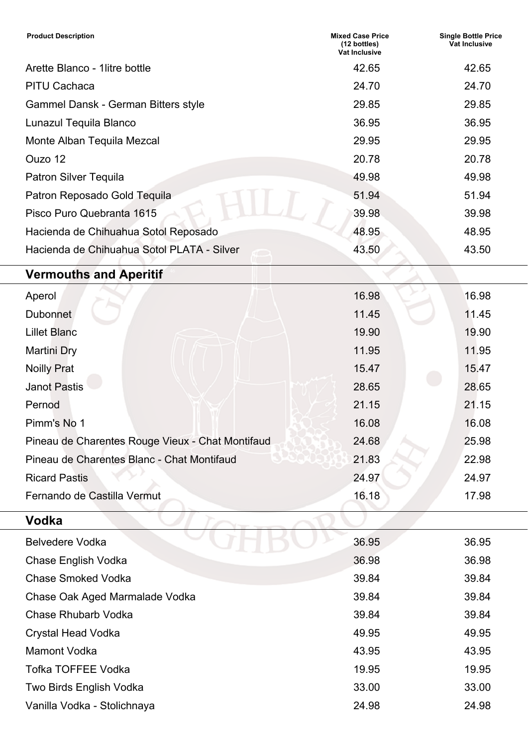| <b>Product Description</b>                 | <b>Mixed Case Price</b><br>(12 bottles)<br>Vat Inclusive | <b>Single Bottle Price</b><br><b>Vat Inclusive</b> |
|--------------------------------------------|----------------------------------------------------------|----------------------------------------------------|
| Arette Blanco - 1 litre bottle             | 42.65                                                    | 42.65                                              |
| <b>PITU Cachaca</b>                        | 24.70                                                    | 24.70                                              |
| Gammel Dansk - German Bitters style        | 29.85                                                    | 29.85                                              |
| Lunazul Tequila Blanco                     | 36.95                                                    | 36.95                                              |
| Monte Alban Tequila Mezcal                 | 29.95                                                    | 29.95                                              |
| Ouzo 12                                    | 20.78                                                    | 20.78                                              |
| <b>Patron Silver Tequila</b>               | 49.98                                                    | 49.98                                              |
| Patron Reposado Gold Tequila               | 51.94                                                    | 51.94                                              |
| Pisco Puro Quebranta 1615                  | 39.98                                                    | 39.98                                              |
| Hacienda de Chihuahua Sotol Reposado       | 48.95                                                    | 48.95                                              |
| Hacienda de Chihuahua Sotol PLATA - Silver | 43.50                                                    | 43.50                                              |
|                                            |                                                          |                                                    |

## **Vermouths and Aperitif**

| Aperol                                           | 16.98 | 16.98 |
|--------------------------------------------------|-------|-------|
| <b>Dubonnet</b>                                  | 11.45 | 11.45 |
| <b>Lillet Blanc</b>                              | 19.90 | 19.90 |
| <b>Martini Dry</b>                               | 11.95 | 11.95 |
| <b>Noilly Prat</b>                               | 15.47 | 15.47 |
| <b>Janot Pastis</b>                              | 28.65 | 28.65 |
| Pernod                                           | 21.15 | 21.15 |
| Pimm's No 1                                      | 16.08 | 16.08 |
| Pineau de Charentes Rouge Vieux - Chat Montifaud | 24.68 | 25.98 |
| Pineau de Charentes Blanc - Chat Montifaud       | 21.83 | 22.98 |
| <b>Ricard Pastis</b>                             | 24.97 | 24.97 |
| Fernando de Castilla Vermut                      | 16.18 | 17.98 |

 $\Delta$ 

### **Vodka** <sup>47</sup>

| <b>Belvedere Vodka</b>         | 36.95 | 36.95 |
|--------------------------------|-------|-------|
| Chase English Vodka            | 36.98 | 36.98 |
| <b>Chase Smoked Vodka</b>      | 39.84 | 39.84 |
| Chase Oak Aged Marmalade Vodka | 39.84 | 39.84 |
| <b>Chase Rhubarb Vodka</b>     | 39.84 | 39.84 |
| <b>Crystal Head Vodka</b>      | 49.95 | 49.95 |
| <b>Mamont Vodka</b>            | 43.95 | 43.95 |
| <b>Tofka TOFFEE Vodka</b>      | 19.95 | 19.95 |
| Two Birds English Vodka        | 33.00 | 33.00 |
| Vanilla Vodka - Stolichnaya    | 24.98 | 24.98 |